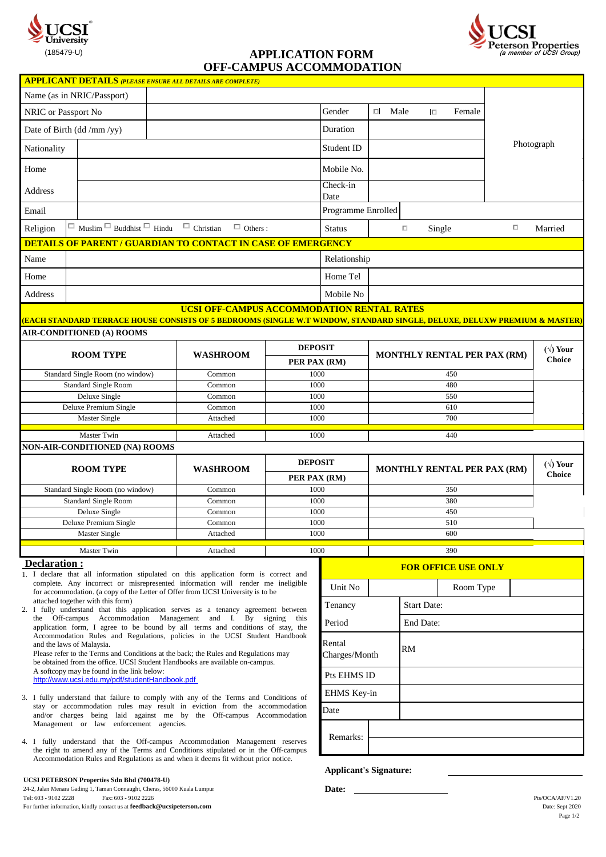

# **OFF-CAMPUS ACCOMMODATION**



|                                  |                                  | <b>APPLICANT DETAILS (PLEASE ENSURE ALL DETAILS ARE COMPLETE)</b>                                                                                                                  |                |                    |                                    |                                    |        |                   |        |                                   |
|----------------------------------|----------------------------------|------------------------------------------------------------------------------------------------------------------------------------------------------------------------------------|----------------|--------------------|------------------------------------|------------------------------------|--------|-------------------|--------|-----------------------------------|
| Name (as in NRIC/Passport)       |                                  |                                                                                                                                                                                    |                |                    |                                    |                                    |        |                   |        |                                   |
| NRIC or Passport No              |                                  |                                                                                                                                                                                    |                | Gender             | $\Box$ Male                        |                                    | $\Box$ | Female            |        |                                   |
| Date of Birth (dd /mm /yy)       |                                  |                                                                                                                                                                                    |                | Duration           |                                    |                                    |        |                   |        |                                   |
| Nationality                      |                                  |                                                                                                                                                                                    |                |                    |                                    |                                    |        |                   |        | Photograph                        |
| Home                             |                                  |                                                                                                                                                                                    |                | Mobile No.         |                                    |                                    |        |                   |        |                                   |
| Address                          |                                  |                                                                                                                                                                                    |                | Check-in<br>Date   |                                    |                                    |        |                   |        |                                   |
| Email                            |                                  |                                                                                                                                                                                    |                | Programme Enrolled |                                    |                                    |        |                   |        |                                   |
| Religion                         |                                  | $\Box$ Muslim $\Box$ Buddhist $\Box$ Hindu $\Box$ Christian<br>$\Box$ Others :                                                                                                     |                | <b>Status</b>      |                                    | $\Box$                             | Single |                   | $\Box$ | Married                           |
|                                  |                                  | <b>DETAILS OF PARENT / GUARDIAN TO CONTACT IN CASE OF EMERGENCY</b>                                                                                                                |                |                    |                                    |                                    |        |                   |        |                                   |
| Name                             |                                  |                                                                                                                                                                                    |                | Relationship       |                                    |                                    |        |                   |        |                                   |
| Home                             |                                  |                                                                                                                                                                                    |                | Home Tel           |                                    |                                    |        |                   |        |                                   |
| Address                          |                                  |                                                                                                                                                                                    |                | Mobile No          |                                    |                                    |        |                   |        |                                   |
|                                  |                                  | UCSI OFF-CAMPUS ACCOMMODATION RENTAL RATES<br><u>(EACH STANDARD TERRACE HOUSE CONSISTS OF 5 BEDROOMS (SINGLE W.T WINDOW, STANDARD SINGLE, DELUXE, DELUXW PREMIUM &amp; MASTER)</u> |                |                    |                                    |                                    |        |                   |        |                                   |
|                                  | <b>AIR-CONDITIONED (A) ROOMS</b> |                                                                                                                                                                                    |                |                    |                                    |                                    |        |                   |        |                                   |
| <b>ROOM TYPE</b>                 |                                  | <b>WASHROOM</b>                                                                                                                                                                    |                | <b>DEPOSIT</b>     |                                    | <b>MONTHLY RENTAL PER PAX (RM)</b> |        |                   |        | $(\forall)$ Your<br><b>Choice</b> |
|                                  |                                  |                                                                                                                                                                                    | PER PAX (RM)   |                    |                                    |                                    |        |                   |        |                                   |
| Standard Single Room (no window) |                                  | Common                                                                                                                                                                             | 1000           |                    | 450                                |                                    |        |                   |        |                                   |
| <b>Standard Single Room</b>      |                                  | Common                                                                                                                                                                             | 1000           |                    | 480                                |                                    |        |                   |        |                                   |
| Deluxe Single                    |                                  | Common                                                                                                                                                                             | 1000           |                    | 550                                |                                    |        |                   |        |                                   |
| Deluxe Premium Single            |                                  | Common                                                                                                                                                                             | 1000           |                    | 610                                |                                    |        |                   |        |                                   |
| Master Single                    |                                  | Attached                                                                                                                                                                           | 1000           |                    | 700                                |                                    |        |                   |        |                                   |
|                                  | <b>Master Twin</b>               | Attached                                                                                                                                                                           | 1000           |                    |                                    |                                    | 440    |                   |        |                                   |
|                                  | NON-AIR-CONDITIONED (NA) ROOMS   |                                                                                                                                                                                    |                |                    |                                    |                                    |        |                   |        |                                   |
| <b>ROOM TYPE</b>                 |                                  | <b>WASHROOM</b>                                                                                                                                                                    | <b>DEPOSIT</b> |                    | <b>MONTHLY RENTAL PER PAX (RM)</b> |                                    |        | $(\sqrt{v})$ Your |        |                                   |
|                                  |                                  |                                                                                                                                                                                    | PER PAX (RM)   |                    |                                    |                                    |        | <b>Choice</b>     |        |                                   |
| Standard Single Room (no window) |                                  | Common                                                                                                                                                                             | 1000           |                    | 350                                |                                    |        |                   |        |                                   |
| <b>Standard Single Room</b>      |                                  | Common                                                                                                                                                                             | 1000           |                    | 380                                |                                    |        |                   |        |                                   |
| Deluxe Single                    |                                  | Common                                                                                                                                                                             | 1000           |                    |                                    |                                    | 450    |                   |        |                                   |
| Deluxe Premium Single            |                                  | Common                                                                                                                                                                             | 1000           |                    | 510                                |                                    |        |                   |        |                                   |
| <b>Master Single</b>             |                                  | Attached                                                                                                                                                                           | 1000           |                    | 600                                |                                    |        |                   |        |                                   |

Master Twin Attached 1000 390

# **Declaration :**

1. I declare that all information stipulated on this application form is correct and attached together with this form) complete. Any incorrect or misrepresented information will render me ineligible for accommodation. (a copy of the Letter of Offer from UCSI University is to be

2. I fully understand that this application serves as a tenancy agreement between the Off-campus Accommodation Management and I. By signing this application form, I agree to be bound by all terms and conditions of stay, the Accommodation Rules and Regulations, policies in the UCSI Student Handbook and the laws of Malaysia.

Please refer to the Terms and Conditions at the back; the Rules and Regulations may be obtained from the office. UCSI Student Handbooks are available on-campus. A softcopy may be found in the link below: [http](http://www.ucsi.edu.my/pdf/studentHandbook.pdf)://www.ucsi.edu.my/pdf/studentHandbook.pdf

- 3. I fully understand that failure to comply with any of the Terms and Conditions of stay or accommodation rules may result in eviction from the accommodation and/or charges being laid against me by the Off-campus Accommodation Management or law enforcement agencies.
- 4. I fully understand that the Off-campus Accommodation Management reserves Accommodation Rules and Regulations as and when it deems fit without prior notice. the right to amend any of the Terms and Conditions stipulated or in the Off-campus

#### **UCSI PETERSON Properties Sdn Bhd (700478-U)**

24-2, Jalan Menara Gading 1, Taman Connaught, Cheras, 56000 Kuala Lumpur<br>Tel: 603 - 9102 2228 Fax: 603 - 9102 2226  $\frac{1}{2}$ Fax: 603 - 9102 2226 Pts/OCA/AF/V1.20 For further information, kindly contact us at **feedback@ucsipeterson.com** Date: Sept 2020

| <b>FOR OFFICE USE ONLY</b> |  |                    |           |  |  |  |
|----------------------------|--|--------------------|-----------|--|--|--|
| Unit No                    |  |                    | Room Type |  |  |  |
| Tenancy                    |  | <b>Start Date:</b> |           |  |  |  |
| Period                     |  | End Date:          |           |  |  |  |
| Rental<br>Charges/Month    |  | RM                 |           |  |  |  |
| Pts EHMS ID                |  |                    |           |  |  |  |
| EHMS Key-in                |  |                    |           |  |  |  |
| Date                       |  |                    |           |  |  |  |
| Remarks:                   |  |                    |           |  |  |  |

 **Applicant's Signature:**